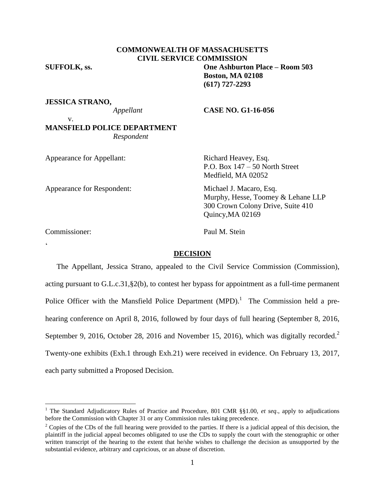# **COMMONWEALTH OF MASSACHUSETTS CIVIL SERVICE COMMISSION**

# **SUFFOLK, ss. One Ashburton Place – Room 503 Boston, MA 02108 (617) 727-2293**

**JESSICA STRANO,**

# *Appellant* **CASE NO. G1-16-056**

# v. **MANSFIELD POLICE DEPARTMENT** *Respondent*

| Appearance for Appellant:  | Richard Heavey, Esq.<br>P.O. Box $147 - 50$ North Street<br>Medfield, MA 02052                                         |
|----------------------------|------------------------------------------------------------------------------------------------------------------------|
| Appearance for Respondent: | Michael J. Macaro, Esq.<br>Murphy, Hesse, Toomey & Lehane LLP<br>300 Crown Colony Drive, Suite 410<br>Quincy, MA 02169 |
| $\sim$                     | $\mathbf{r}$ is $\mathbf{r}$ .                                                                                         |

Commissioner: Paul M. Stein

 $\zeta$ 

 $\overline{a}$ 

# **DECISION**

The Appellant, Jessica Strano, appealed to the Civil Service Commission (Commission), acting pursuant to G.L.c.31,§2(b), to contest her bypass for appointment as a full-time permanent Police Officer with the Mansfield Police Department  $(MPD)$ .<sup>1</sup> The Commission held a prehearing conference on April 8, 2016, followed by four days of full hearing (September 8, 2016, September 9, 2016, October 28, 2016 and November 15, 2016), which was digitally recorded.<sup>2</sup> Twenty-one exhibits (Exh.1 through Exh.21) were received in evidence. On February 13, 2017, each party submitted a Proposed Decision.

<sup>1</sup> The Standard Adjudicatory Rules of Practice and Procedure, 801 CMR §§1.00, *et seq*., apply to adjudications before the Commission with Chapter 31 or any Commission rules taking precedence.

 $2^2$  Copies of the CDs of the full hearing were provided to the parties. If there is a judicial appeal of this decision, the plaintiff in the judicial appeal becomes obligated to use the CDs to supply the court with the stenographic or other written transcript of the hearing to the extent that he/she wishes to challenge the decision as unsupported by the substantial evidence, arbitrary and capricious, or an abuse of discretion.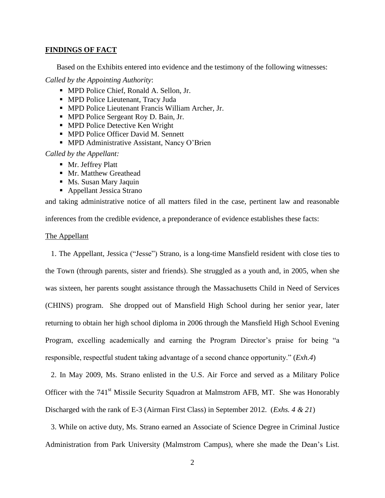#### **FINDINGS OF FACT**

Based on the Exhibits entered into evidence and the testimony of the following witnesses:

*Called by the Appointing Authority*:

- MPD Police Chief, Ronald A. Sellon, Jr.
- MPD Police Lieutenant, Tracy Juda
- MPD Police Lieutenant Francis William Archer, Jr.
- MPD Police Sergeant Roy D. Bain, Jr.
- **MPD Police Detective Ken Wright**
- **MPD Police Officer David M. Sennett**
- **MPD Administrative Assistant, Nancy O'Brien**

# *Called by the Appellant:*

- Mr. Jeffrey Platt
- **Mr. Matthew Greathead**
- **Ms. Susan Mary Jaquin**
- Appellant Jessica Strano

and taking administrative notice of all matters filed in the case, pertinent law and reasonable

inferences from the credible evidence, a preponderance of evidence establishes these facts:

### The Appellant

1. The Appellant, Jessica ("Jesse") Strano, is a long-time Mansfield resident with close ties to the Town (through parents, sister and friends). She struggled as a youth and, in 2005, when she was sixteen, her parents sought assistance through the Massachusetts Child in Need of Services (CHINS) program. She dropped out of Mansfield High School during her senior year, later returning to obtain her high school diploma in 2006 through the Mansfield High School Evening Program, excelling academically and earning the Program Director's praise for being "a responsible, respectful student taking advantage of a second chance opportunity." (*Exh.4*)

2. In May 2009, Ms. Strano enlisted in the U.S. Air Force and served as a Military Police Officer with the 741<sup>st</sup> Missile Security Squadron at Malmstrom AFB, MT. She was Honorably Discharged with the rank of E-3 (Airman First Class) in September 2012. (*Exhs. 4 & 21*)

3. While on active duty, Ms. Strano earned an Associate of Science Degree in Criminal Justice Administration from Park University (Malmstrom Campus), where she made the Dean's List.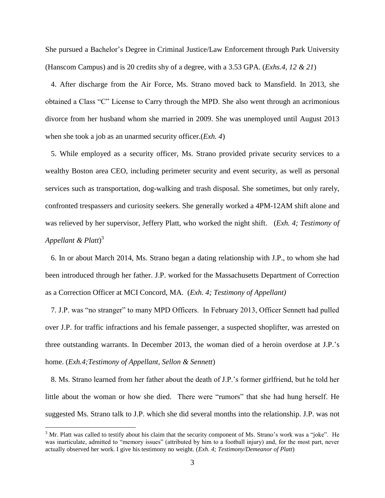She pursued a Bachelor's Degree in Criminal Justice/Law Enforcement through Park University (Hanscom Campus) and is 20 credits shy of a degree, with a 3.53 GPA. (*Exhs.4, 12 & 21*)

4. After discharge from the Air Force, Ms. Strano moved back to Mansfield. In 2013, she obtained a Class "C" License to Carry through the MPD. She also went through an acrimonious divorce from her husband whom she married in 2009. She was unemployed until August 2013 when she took a job as an unarmed security officer.(*Exh. 4*)

5. While employed as a security officer, Ms. Strano provided private security services to a wealthy Boston area CEO, including perimeter security and event security, as well as personal services such as transportation, dog-walking and trash disposal. She sometimes, but only rarely, confronted trespassers and curiosity seekers. She generally worked a 4PM-12AM shift alone and was relieved by her supervisor, Jeffery Platt, who worked the night shift. (*Exh. 4; Testimony of Appellant & Platt*) 3

6. In or about March 2014, Ms. Strano began a dating relationship with J.P., to whom she had been introduced through her father. J.P. worked for the Massachusetts Department of Correction as a Correction Officer at MCI Concord, MA. (*Exh. 4; Testimony of Appellant)*

7*.* J.P. was "no stranger" to many MPD Officers. In February 2013, Officer Sennett had pulled over J.P. for traffic infractions and his female passenger, a suspected shoplifter, was arrested on three outstanding warrants. In December 2013, the woman died of a heroin overdose at J.P.'s home. (*Exh.4;Testimony of Appellant, Sellon & Sennett*)

8. Ms. Strano learned from her father about the death of J.P.'s former girlfriend, but he told her little about the woman or how she died. There were "rumors" that she had hung herself. He suggested Ms. Strano talk to J.P. which she did several months into the relationship. J.P. was not

<sup>&</sup>lt;sup>3</sup> Mr. Platt was called to testify about his claim that the security component of Ms. Strano's work was a "joke". He was inarticulate, admitted to "memory issues" (attributed by him to a football injury) and, for the most part, never actually observed her work. I give his testimony no weight. (*Exh. 4; Testimony/Demeanor of Platt*)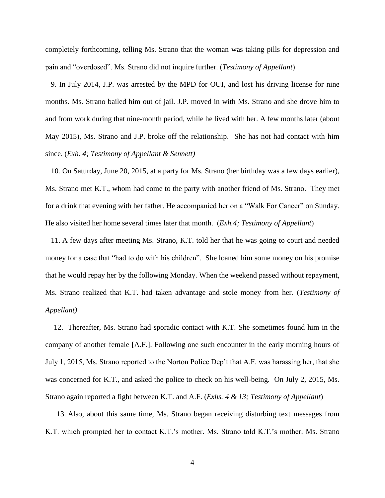completely forthcoming, telling Ms. Strano that the woman was taking pills for depression and pain and "overdosed". Ms. Strano did not inquire further. (*Testimony of Appellant*)

9. In July 2014, J.P. was arrested by the MPD for OUI, and lost his driving license for nine months. Ms. Strano bailed him out of jail. J.P. moved in with Ms. Strano and she drove him to and from work during that nine-month period, while he lived with her. A few months later (about May 2015), Ms. Strano and J.P. broke off the relationship. She has not had contact with him since. (*Exh. 4; Testimony of Appellant & Sennett)*

10*.* On Saturday, June 20, 2015, at a party for Ms. Strano (her birthday was a few days earlier), Ms. Strano met K.T., whom had come to the party with another friend of Ms. Strano. They met for a drink that evening with her father. He accompanied her on a "Walk For Cancer" on Sunday. He also visited her home several times later that month. (*Exh.4; Testimony of Appellant*)

11. A few days after meeting Ms. Strano, K.T. told her that he was going to court and needed money for a case that "had to do with his children". She loaned him some money on his promise that he would repay her by the following Monday. When the weekend passed without repayment, Ms. Strano realized that K.T. had taken advantage and stole money from her. (*Testimony of Appellant)*

12. Thereafter, Ms. Strano had sporadic contact with K.T. She sometimes found him in the company of another female [A.F.]. Following one such encounter in the early morning hours of July 1, 2015, Ms. Strano reported to the Norton Police Dep't that A.F. was harassing her, that she was concerned for K.T., and asked the police to check on his well-being. On July 2, 2015, Ms. Strano again reported a fight between K.T. and A.F. (*Exhs. 4 & 13; Testimony of Appellant*)

13. Also, about this same time, Ms. Strano began receiving disturbing text messages from K.T. which prompted her to contact K.T.'s mother. Ms. Strano told K.T.'s mother. Ms. Strano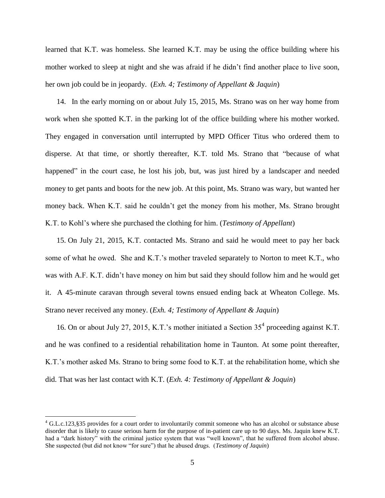learned that K.T. was homeless. She learned K.T. may be using the office building where his mother worked to sleep at night and she was afraid if he didn't find another place to live soon, her own job could be in jeopardy. (*Exh. 4; Testimony of Appellant & Jaquin*)

14. In the early morning on or about July 15, 2015, Ms. Strano was on her way home from work when she spotted K.T. in the parking lot of the office building where his mother worked. They engaged in conversation until interrupted by MPD Officer Titus who ordered them to disperse. At that time, or shortly thereafter, K.T. told Ms. Strano that "because of what happened" in the court case, he lost his job, but, was just hired by a landscaper and needed money to get pants and boots for the new job. At this point, Ms. Strano was wary, but wanted her money back. When K.T. said he couldn't get the money from his mother, Ms. Strano brought K.T. to Kohl's where she purchased the clothing for him. (*Testimony of Appellant*)

15. On July 21, 2015, K.T. contacted Ms. Strano and said he would meet to pay her back some of what he owed. She and K.T.'s mother traveled separately to Norton to meet K.T., who was with A.F. K.T. didn't have money on him but said they should follow him and he would get it. A 45-minute caravan through several towns ensued ending back at Wheaton College. Ms. Strano never received any money. (*Exh. 4; Testimony of Appellant & Jaquin*)

16. On or about July 27, 2015, K.T.'s mother initiated a Section  $35<sup>4</sup>$  proceeding against K.T. and he was confined to a residential rehabilitation home in Taunton. At some point thereafter, K.T.'s mother asked Ms. Strano to bring some food to K.T. at the rehabilitation home, which she did. That was her last contact with K.T. (*Exh. 4: Testimony of Appellant & Joquin*)

 $^{4}$  G.L.c.123,§35 provides for a court order to involuntarily commit someone who has an alcohol or substance abuse disorder that is likely to cause serious harm for the purpose of in-patient care up to 90 days. Ms. Jaquin knew K.T. had a "dark history" with the criminal justice system that was "well known", that he suffered from alcohol abuse. She suspected (but did not know "for sure") that he abused drugs. (*Testimony of Jaquin*)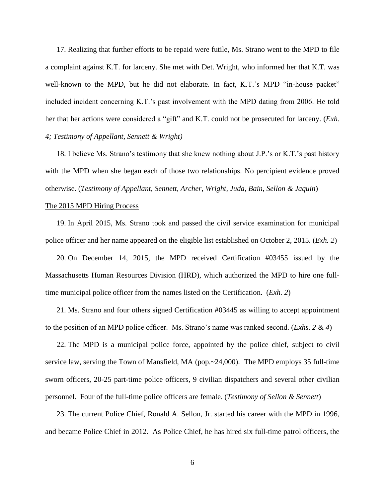17. Realizing that further efforts to be repaid were futile, Ms. Strano went to the MPD to file a complaint against K.T. for larceny. She met with Det. Wright, who informed her that K.T. was well-known to the MPD, but he did not elaborate. In fact, K.T.'s MPD "in-house packet" included incident concerning K.T.'s past involvement with the MPD dating from 2006. He told her that her actions were considered a "gift" and K.T. could not be prosecuted for larceny. (*Exh. 4; Testimony of Appellant, Sennett & Wright)*

18. I believe Ms. Strano's testimony that she knew nothing about J.P.'s or K.T.'s past history with the MPD when she began each of those two relationships. No percipient evidence proved otherwise. (*Testimony of Appellant, Sennett, Archer, Wright, Juda, Bain, Sellon & Jaquin*)

### The 2015 MPD Hiring Process

19. In April 2015, Ms. Strano took and passed the civil service examination for municipal police officer and her name appeared on the eligible list established on October 2, 2015. (*Exh. 2*)

20. On December 14, 2015, the MPD received Certification #03455 issued by the Massachusetts Human Resources Division (HRD), which authorized the MPD to hire one fulltime municipal police officer from the names listed on the Certification. (*Exh. 2*)

21. Ms. Strano and four others signed Certification #03445 as willing to accept appointment to the position of an MPD police officer. Ms. Strano's name was ranked second. (*Exhs. 2 & 4*)

22. The MPD is a municipal police force, appointed by the police chief, subject to civil service law, serving the Town of Mansfield, MA (pop.~24,000). The MPD employs 35 full-time sworn officers, 20-25 part-time police officers, 9 civilian dispatchers and several other civilian personnel. Four of the full-time police officers are female. (*Testimony of Sellon & Sennett*)

23. The current Police Chief, Ronald A. Sellon, Jr. started his career with the MPD in 1996, and became Police Chief in 2012. As Police Chief, he has hired six full-time patrol officers, the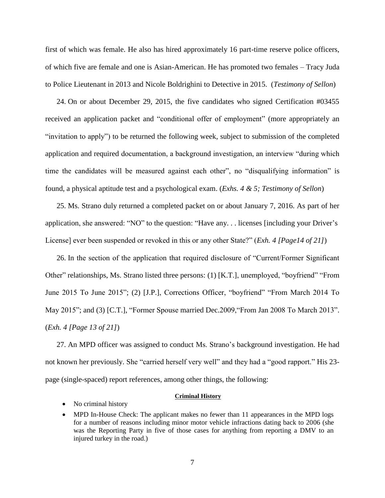first of which was female. He also has hired approximately 16 part-time reserve police officers, of which five are female and one is Asian-American. He has promoted two females – Tracy Juda to Police Lieutenant in 2013 and Nicole Boldrighini to Detective in 2015. (*Testimony of Sellon*)

24. On or about December 29, 2015, the five candidates who signed Certification #03455 received an application packet and "conditional offer of employment" (more appropriately an "invitation to apply") to be returned the following week, subject to submission of the completed application and required documentation, a background investigation, an interview "during which time the candidates will be measured against each other", no "disqualifying information" is found, a physical aptitude test and a psychological exam. (*Exhs. 4 & 5; Testimony of Sellon*)

25. Ms. Strano duly returned a completed packet on or about January 7, 2016. As part of her application, she answered: "NO" to the question: "Have any. . . licenses [including your Driver's License] ever been suspended or revoked in this or any other State?" (*Exh. 4 [Page14 of 21]*)

26. In the section of the application that required disclosure of "Current/Former Significant Other" relationships, Ms. Strano listed three persons: (1) [K.T.], unemployed, "boyfriend" "From June 2015 To June 2015"; (2) [J.P.], Corrections Officer, "boyfriend" "From March 2014 To May 2015"; and (3) [C.T.], "Former Spouse married Dec.2009, "From Jan 2008 To March 2013". (*Exh. 4 [Page 13 of 21]*)

27. An MPD officer was assigned to conduct Ms. Strano's background investigation. He had not known her previously. She "carried herself very well" and they had a "good rapport." His 23 page (single-spaced) report references, among other things, the following:

#### **Criminal History**

- No criminal history
- MPD In-House Check: The applicant makes no fewer than 11 appearances in the MPD logs for a number of reasons including minor motor vehicle infractions dating back to 2006 (she was the Reporting Party in five of those cases for anything from reporting a DMV to an injured turkey in the road.)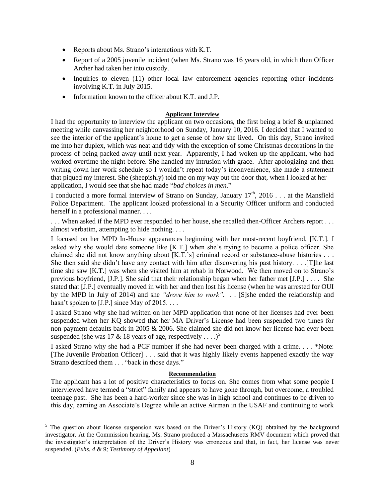- Reports about Ms. Strano's interactions with K.T.
- Report of a 2005 juvenile incident (when Ms. Strano was 16 years old, in which then Officer Archer had taken her into custody.
- Inquiries to eleven (11) other local law enforcement agencies reporting other incidents involving K.T. in July 2015.
- Information known to the officer about K.T. and J.P.

# **Applicant Interview**

I had the opportunity to interview the applicant on two occasions, the first being a brief & unplanned meeting while canvassing her neighborhood on Sunday, January 10, 2016. I decided that I wanted to see the interior of the applicant's home to get a sense of how she lived. On this day, Strano invited me into her duplex, which was neat and tidy with the exception of some Christmas decorations in the process of being packed away until next year. Apparently, I had woken up the applicant, who had worked overtime the night before. She handled my intrusion with grace. After apologizing and then writing down her work schedule so I wouldn't repeat today's inconvenience, she made a statement that piqued my interest. She (sheepishly) told me on my way out the door that, when I looked at her application, I would see that she had made "*bad choices in men*."

I conducted a more formal interview of Strano on Sunday, January  $17<sup>th</sup>$ , 2016 . . . at the Mansfield Police Department. The applicant looked professional in a Security Officer uniform and conducted herself in a professional manner. . . .

. . . When asked if the MPD ever responded to her house, she recalled then-Officer Archers report . . . almost verbatim, attempting to hide nothing. . . .

I focused on her MPD In-House appearances beginning with her most-recent boyfriend, [K.T.]. I asked why she would date someone like [K.T.] when she's trying to become a police officer. She claimed she did not know anything about [K.T.'s] criminal record or substance-abuse histories . . . She then said she didn't have any contact with him after discovering his past history. . . .[T]he last time she saw [K.T.] was when she visited him at rehab in Norwood. We then moved on to Strano's previous boyfriend, [J.P.]. She said that their relationship began when her father met [J.P.] . . . . She stated that [J.P.] eventually moved in with her and then lost his license (when he was arrested for OUI by the MPD in July of 2014) and she *"drove him to work".* . . [S]she ended the relationship and hasn't spoken to [J.P.] since May of 2015. . . .

I asked Strano why she had written on her MPD application that none of her licenses had ever been suspended when her KQ showed that her MA Driver's License had been suspended two times for non-payment defaults back in 2005 & 2006. She claimed she did not know her license had ever been suspended (she was 17 & 18 years of age, respectively . . . .)<sup>5</sup>

I asked Strano why she had a PCF number if she had never been charged with a crime. . . . \*Note: [The Juvenile Probation Officer] . . . said that it was highly likely events happened exactly the way Strano described them . . . "back in those days."

### **Recommendation**

The applicant has a lot of positive characteristics to focus on. She comes from what some people I interviewed have termed a "strict" family and appears to have gone through, but overcome, a troubled teenage past. She has been a hard-worker since she was in high school and continues to be driven to this day, earning an Associate's Degree while an active Airman in the USAF and continuing to work

<sup>&</sup>lt;sup>5</sup> The question about license suspension was based on the Driver's History (KQ) obtained by the background investigator. At the Commission hearing, Ms. Strano produced a Massachusetts RMV document which proved that the investigator's interpretation of the Driver's History was erroneous and that, in fact, her license was never suspended. (*Exhs. 4 & 9; Testimony of Appellant*)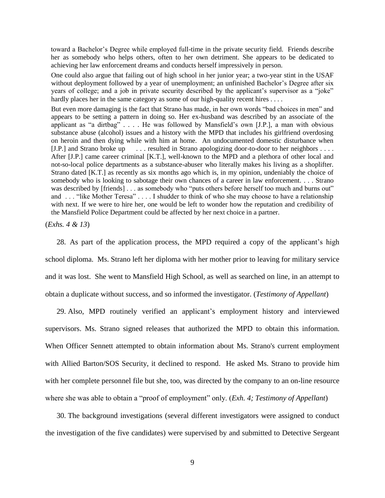toward a Bachelor's Degree while employed full-time in the private security field. Friends describe her as somebody who helps others, often to her own detriment. She appears to be dedicated to achieving her law enforcement dreams and conducts herself impressively in person.

One could also argue that failing out of high school in her junior year; a two-year stint in the USAF without deployment followed by a year of unemployment; an unfinished Bachelor's Degree after six years of college; and a job in private security described by the applicant's supervisor as a "joke" hardly places her in the same category as some of our high-quality recent hires . . . .

But even more damaging is the fact that Strano has made, in her own words "bad choices in men" and appears to be setting a pattern in doing so. Her ex-husband was described by an associate of the applicant as "a dirtbag" . . . . He was followed by Mansfield's own [J.P.], a man with obvious substance abuse (alcohol) issues and a history with the MPD that includes his girlfriend overdosing on heroin and then dying while with him at home. An undocumented domestic disturbance when [J.P.] and Strano broke up . . . resulted in Strano apologizing door-to-door to her neighbors . . . . After [J.P.] came career criminal [K.T.], well-known to the MPD and a plethora of other local and not-so-local police departments as a substance-abuser who literally makes his living as a shoplifter. Strano dated [K.T.] as recently as six months ago which is, in my opinion, undeniably the choice of somebody who is looking to sabotage their own chances of a career in law enforcement. . . . Strano was described by [friends] . . . as somebody who "puts others before herself too much and burns out" and . . . "like Mother Teresa" . . . . I shudder to think of who she may choose to have a relationship with next. If we were to hire her, one would be left to wonder how the reputation and credibility of the Mansfield Police Department could be affected by her next choice in a partner.

(*Exhs. 4 & 13*)

28. As part of the application process, the MPD required a copy of the applicant's high school diploma. Ms. Strano left her diploma with her mother prior to leaving for military service and it was lost. She went to Mansfield High School, as well as searched on line, in an attempt to obtain a duplicate without success, and so informed the investigator. (*Testimony of Appellant*)

29. Also, MPD routinely verified an applicant's employment history and interviewed supervisors. Ms. Strano signed releases that authorized the MPD to obtain this information. When Officer Sennett attempted to obtain information about Ms. Strano's current employment with Allied Barton/SOS Security, it declined to respond. He asked Ms. Strano to provide him with her complete personnel file but she, too, was directed by the company to an on-line resource where she was able to obtain a "proof of employment" only. (*Exh. 4; Testimony of Appellant*)

30. The background investigations (several different investigators were assigned to conduct the investigation of the five candidates) were supervised by and submitted to Detective Sergeant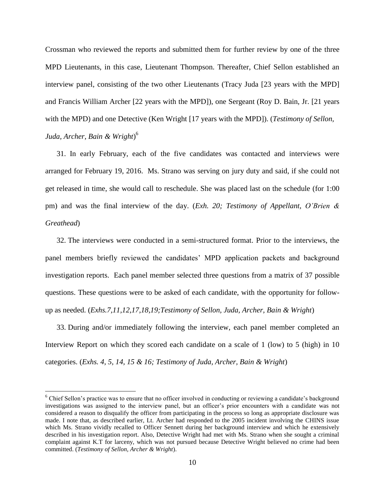Crossman who reviewed the reports and submitted them for further review by one of the three MPD Lieutenants, in this case, Lieutenant Thompson. Thereafter, Chief Sellon established an interview panel, consisting of the two other Lieutenants (Tracy Juda [23 years with the MPD] and Francis William Archer [22 years with the MPD]), one Sergeant (Roy D. Bain, Jr. [21 years with the MPD) and one Detective (Ken Wright [17 years with the MPD]). (*Testimony of Sellon, Juda, Archer, Bain & Wright*) 6

31. In early February, each of the five candidates was contacted and interviews were arranged for February 19, 2016. Ms. Strano was serving on jury duty and said, if she could not get released in time, she would call to reschedule. She was placed last on the schedule (for 1:00 pm) and was the final interview of the day. (*Exh. 20; Testimony of Appellant, O'Brien & Greathead*)

32. The interviews were conducted in a semi-structured format. Prior to the interviews, the panel members briefly reviewed the candidates' MPD application packets and background investigation reports. Each panel member selected three questions from a matrix of 37 possible questions. These questions were to be asked of each candidate, with the opportunity for followup as needed. (*Exhs.7,11,12,17,18,19;Testimony of Sellon, Juda, Archer, Bain & Wright*)

33. During and/or immediately following the interview, each panel member completed an Interview Report on which they scored each candidate on a scale of 1 (low) to 5 (high) in 10 categories. (*Exhs. 4, 5, 14, 15 & 16; Testimony of Juda, Archer, Bain & Wright*)

<sup>&</sup>lt;sup>6</sup> Chief Sellon's practice was to ensure that no officer involved in conducting or reviewing a candidate's background investigations was assigned to the interview panel, but an officer's prior encounters with a candidate was not considered a reason to disqualify the officer from participating in the process so long as appropriate disclosure was made. I note that, as described earlier, Lt. Archer had responded to the 2005 incident involving the CHINS issue which Ms. Strano vividly recalled to Officer Sennett during her background interview and which he extensively described in his investigation report. Also, Detective Wright had met with Ms. Strano when she sought a criminal complaint against K.T for larceny, which was not pursued because Detective Wright believed no crime had been committed. (*Testimony of Sellon, Archer & Wright*).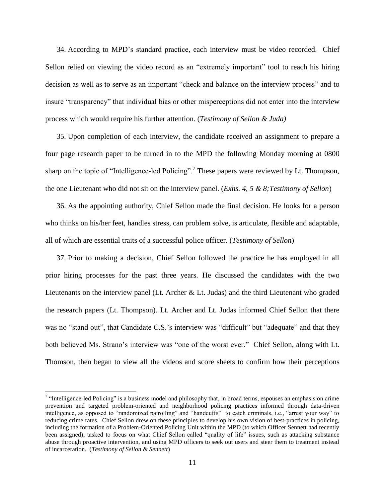34. According to MPD's standard practice, each interview must be video recorded. Chief Sellon relied on viewing the video record as an "extremely important" tool to reach his hiring decision as well as to serve as an important "check and balance on the interview process" and to insure "transparency" that individual bias or other misperceptions did not enter into the interview process which would require his further attention. (*Testimony of Sellon & Juda)*

35. Upon completion of each interview, the candidate received an assignment to prepare a four page research paper to be turned in to the MPD the following Monday morning at 0800 sharp on the topic of "Intelligence-led Policing".<sup>7</sup> These papers were reviewed by Lt. Thompson, the one Lieutenant who did not sit on the interview panel. (*Exhs. 4, 5 & 8;Testimony of Sellon*)

36. As the appointing authority, Chief Sellon made the final decision. He looks for a person who thinks on his/her feet, handles stress, can problem solve, is articulate, flexible and adaptable, all of which are essential traits of a successful police officer. (*Testimony of Sellon*)

37. Prior to making a decision, Chief Sellon followed the practice he has employed in all prior hiring processes for the past three years. He discussed the candidates with the two Lieutenants on the interview panel (Lt. Archer & Lt. Judas) and the third Lieutenant who graded the research papers (Lt. Thompson). Lt. Archer and Lt. Judas informed Chief Sellon that there was no "stand out", that Candidate C.S.'s interview was "difficult" but "adequate" and that they both believed Ms. Strano's interview was "one of the worst ever." Chief Sellon, along with Lt. Thomson, then began to view all the videos and score sheets to confirm how their perceptions

 $<sup>7</sup>$  "Intelligence-led Policing" is a business model and philosophy that, in broad terms, espouses an emphasis on crime</sup> prevention and targeted problem-oriented and neighborhood policing practices informed through data-driven intelligence, as opposed to "randomized patrolling" and "handcuffs" to catch criminals, i.e., "arrest your way" to reducing crime rates. Chief Sellon drew on these principles to develop his own vision of best-practices in policing, including the formation of a Problem-Oriented Policing Unit within the MPD (to which Officer Sennett had recently been assigned), tasked to focus on what Chief Sellon called "quality of life" issues, such as attacking substance abuse through proactive intervention, and using MPD officers to seek out users and steer them to treatment instead of incarceration. (*Testimony of Sellon & Sennett*)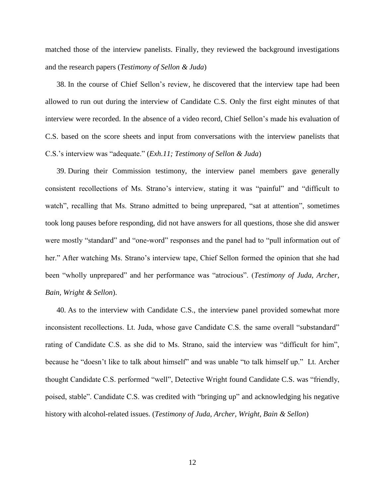matched those of the interview panelists. Finally, they reviewed the background investigations and the research papers (*Testimony of Sellon & Juda*)

38. In the course of Chief Sellon's review, he discovered that the interview tape had been allowed to run out during the interview of Candidate C.S. Only the first eight minutes of that interview were recorded. In the absence of a video record, Chief Sellon's made his evaluation of C.S. based on the score sheets and input from conversations with the interview panelists that C.S.'s interview was "adequate." (*Exh.11; Testimony of Sellon & Juda*)

39. During their Commission testimony, the interview panel members gave generally consistent recollections of Ms. Strano's interview, stating it was "painful" and "difficult to watch", recalling that Ms. Strano admitted to being unprepared, "sat at attention", sometimes took long pauses before responding, did not have answers for all questions, those she did answer were mostly "standard" and "one-word" responses and the panel had to "pull information out of her." After watching Ms. Strano's interview tape, Chief Sellon formed the opinion that she had been "wholly unprepared" and her performance was "atrocious". (*Testimony of Juda, Archer, Bain, Wright & Sellon*).

40. As to the interview with Candidate C.S., the interview panel provided somewhat more inconsistent recollections. Lt. Juda, whose gave Candidate C.S. the same overall "substandard" rating of Candidate C.S. as she did to Ms. Strano, said the interview was "difficult for him", because he "doesn't like to talk about himself" and was unable "to talk himself up." Lt. Archer thought Candidate C.S. performed "well", Detective Wright found Candidate C.S. was "friendly, poised, stable". Candidate C.S. was credited with "bringing up" and acknowledging his negative history with alcohol-related issues. (*Testimony of Juda, Archer, Wright, Bain & Sellon*)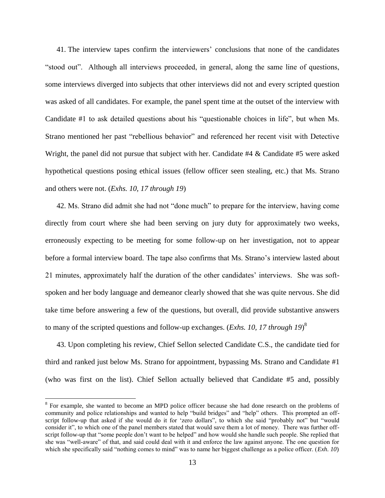41. The interview tapes confirm the interviewers' conclusions that none of the candidates "stood out". Although all interviews proceeded, in general, along the same line of questions, some interviews diverged into subjects that other interviews did not and every scripted question was asked of all candidates. For example, the panel spent time at the outset of the interview with Candidate #1 to ask detailed questions about his "questionable choices in life", but when Ms. Strano mentioned her past "rebellious behavior" and referenced her recent visit with Detective Wright, the panel did not pursue that subject with her. Candidate #4 & Candidate #5 were asked hypothetical questions posing ethical issues (fellow officer seen stealing, etc.) that Ms. Strano and others were not. (*Exhs. 10, 17 through 19*)

42. Ms. Strano did admit she had not "done much" to prepare for the interview, having come directly from court where she had been serving on jury duty for approximately two weeks, erroneously expecting to be meeting for some follow-up on her investigation, not to appear before a formal interview board. The tape also confirms that Ms. Strano's interview lasted about 21 minutes, approximately half the duration of the other candidates' interviews. She was softspoken and her body language and demeanor clearly showed that she was quite nervous. She did take time before answering a few of the questions, but overall, did provide substantive answers to many of the scripted questions and follow-up exchanges. (*Exhs. 10, 17 through 19*) 8

43. Upon completing his review, Chief Sellon selected Candidate C.S., the candidate tied for third and ranked just below Ms. Strano for appointment, bypassing Ms. Strano and Candidate #1 (who was first on the list). Chief Sellon actually believed that Candidate #5 and, possibly

<sup>&</sup>lt;sup>8</sup> For example, she wanted to become an MPD police officer because she had done research on the problems of community and police relationships and wanted to help "build bridges" and "help" others. This prompted an offscript follow-up that asked if she would do it for 'zero dollars", to which she said "probably not" but "would consider it", to which one of the panel members stated that would save them a lot of money. There was further offscript follow-up that "some people don't want to be helped" and how would she handle such people. She replied that she was "well-aware" of that, and said could deal with it and enforce the law against anyone. The one question for which she specifically said "nothing comes to mind" was to name her biggest challenge as a police officer. (*Exh. 10*)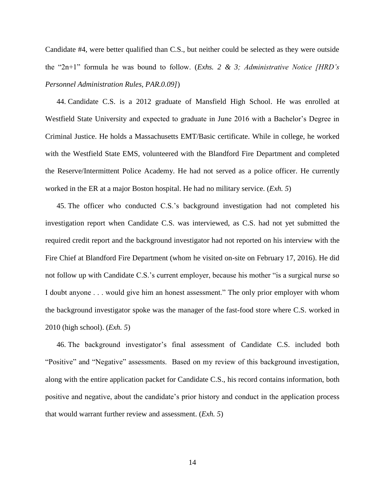Candidate #4, were better qualified than C.S., but neither could be selected as they were outside the "2n+1" formula he was bound to follow. (*Exhs. 2 & 3; Administrative Notice [HRD's Personnel Administration Rules, PAR.0.09]*)

44. Candidate C.S. is a 2012 graduate of Mansfield High School. He was enrolled at Westfield State University and expected to graduate in June 2016 with a Bachelor's Degree in Criminal Justice. He holds a Massachusetts EMT/Basic certificate. While in college, he worked with the Westfield State EMS, volunteered with the Blandford Fire Department and completed the Reserve/Intermittent Police Academy. He had not served as a police officer. He currently worked in the ER at a major Boston hospital. He had no military service. (*Exh. 5*)

45. The officer who conducted C.S.'s background investigation had not completed his investigation report when Candidate C.S. was interviewed, as C.S. had not yet submitted the required credit report and the background investigator had not reported on his interview with the Fire Chief at Blandford Fire Department (whom he visited on-site on February 17, 2016). He did not follow up with Candidate C.S.'s current employer, because his mother "is a surgical nurse so I doubt anyone . . . would give him an honest assessment." The only prior employer with whom the background investigator spoke was the manager of the fast-food store where C.S. worked in 2010 (high school). (*Exh. 5*)

46. The background investigator's final assessment of Candidate C.S. included both "Positive" and "Negative" assessments. Based on my review of this background investigation, along with the entire application packet for Candidate C.S., his record contains information, both positive and negative, about the candidate's prior history and conduct in the application process that would warrant further review and assessment. (*Exh. 5*)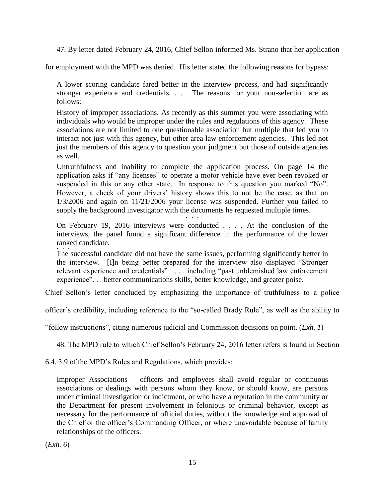47. By letter dated February 24, 2016, Chief Sellon informed Ms. Strano that her application

for employment with the MPD was denied. His letter stated the following reasons for bypass:

A lower scoring candidate fared better in the interview process, and had significantly stronger experience and credentials. . . . The reasons for your non-selection are as follows:

History of improper associations. As recently as this summer you were associating with individuals who would be improper under the rules and regulations of this agency. These associations are not limited to one questionable association but multiple that led you to interact not just with this agency, but other area law enforcement agencies. This led not just the members of this agency to question your judgment but those of outside agencies as well.

Untruthfulness and inability to complete the application process. On page 14 the application asks if "any licenses" to operate a motor vehicle have ever been revoked or suspended in this or any other state. In response to this question you marked "No". However, a check of your drivers' history shows this to not be the case, as that on 1/3/2006 and again on 11/21/2006 your license was suspended. Further you failed to supply the background investigator with the documents he requested multiple times.  $\cdot$  . .

On February 19, 2016 interviews were conducted . . . . At the conclusion of the interviews, the panel found a significant difference in the performance of the lower ranked candidate. . . .

The successful candidate did not have the same issues, performing significantly better in the interview. [I]n being better prepared for the interview also displayed "Stronger relevant experience and credentials" . . . . including "past unblemished law enforcement experience". . . better communications skills, better knowledge, and greater poise.

Chief Sellon's letter concluded by emphasizing the importance of truthfulness to a police

officer's credibility, including reference to the "so-called Brady Rule", as well as the ability to

"follow instructions", citing numerous judicial and Commission decisions on point. (*Exh. 1*)

48. The MPD rule to which Chief Sellon's February 24, 2016 letter refers is found in Section

6.4. 3.9 of the MPD's Rules and Regulations, which provides:

Improper Associations – officers and employees shall avoid regular or continuous associations or dealings with persons whom they know, or should know, are persons under criminal investigation or indictment, or who have a reputation in the community or the Department for present involvement in felonious or criminal behavior, except as necessary for the performance of official duties, without the knowledge and approval of the Chief or the officer's Commanding Officer, or where unavoidable because of family relationships of the officers.

(*Exh. 6*)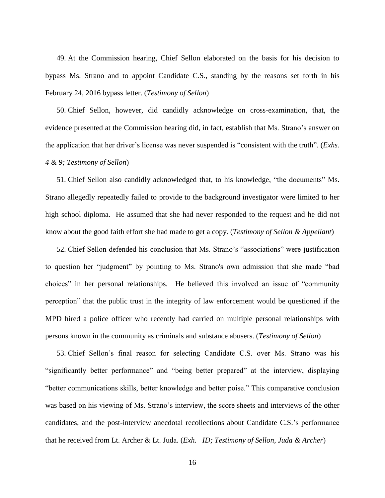49. At the Commission hearing, Chief Sellon elaborated on the basis for his decision to bypass Ms. Strano and to appoint Candidate C.S., standing by the reasons set forth in his February 24, 2016 bypass letter. (*Testimony of Sellon*)

50. Chief Sellon, however, did candidly acknowledge on cross-examination, that, the evidence presented at the Commission hearing did, in fact, establish that Ms. Strano's answer on the application that her driver's license was never suspended is "consistent with the truth". (*Exhs. 4 & 9; Testimony of Sellon*)

51. Chief Sellon also candidly acknowledged that, to his knowledge, "the documents" Ms. Strano allegedly repeatedly failed to provide to the background investigator were limited to her high school diploma. He assumed that she had never responded to the request and he did not know about the good faith effort she had made to get a copy. (*Testimony of Sellon & Appellant*)

52. Chief Sellon defended his conclusion that Ms. Strano's "associations" were justification to question her "judgment" by pointing to Ms. Strano's own admission that she made "bad choices" in her personal relationships. He believed this involved an issue of "community perception" that the public trust in the integrity of law enforcement would be questioned if the MPD hired a police officer who recently had carried on multiple personal relationships with persons known in the community as criminals and substance abusers. (*Testimony of Sellon*)

53. Chief Sellon's final reason for selecting Candidate C.S. over Ms. Strano was his "significantly better performance" and "being better prepared" at the interview, displaying "better communications skills, better knowledge and better poise." This comparative conclusion was based on his viewing of Ms. Strano's interview, the score sheets and interviews of the other candidates, and the post-interview anecdotal recollections about Candidate C.S.'s performance that he received from Lt. Archer & Lt. Juda. (*Exh. ID; Testimony of Sellon, Juda & Archer*)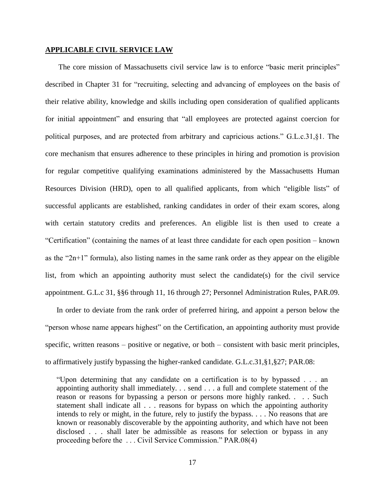# **APPLICABLE CIVIL SERVICE LAW**

The core mission of Massachusetts civil service law is to enforce "basic merit principles" described in Chapter 31 for "recruiting, selecting and advancing of employees on the basis of their relative ability, knowledge and skills including open consideration of qualified applicants for initial appointment" and ensuring that "all employees are protected against coercion for political purposes, and are protected from arbitrary and capricious actions." G.L.c.31,§1. The core mechanism that ensures adherence to these principles in hiring and promotion is provision for regular competitive qualifying examinations administered by the Massachusetts Human Resources Division (HRD), open to all qualified applicants, from which "eligible lists" of successful applicants are established, ranking candidates in order of their exam scores, along with certain statutory credits and preferences. An eligible list is then used to create a "Certification" (containing the names of at least three candidate for each open position – known as the "2n+1" formula), also listing names in the same rank order as they appear on the eligible list, from which an appointing authority must select the candidate(s) for the civil service appointment. G.L.c 31, §§6 through 11, 16 through 27; Personnel Administration Rules, PAR.09.

In order to deviate from the rank order of preferred hiring, and appoint a person below the "person whose name appears highest" on the Certification, an appointing authority must provide specific, written reasons – positive or negative, or both – consistent with basic merit principles, to affirmatively justify bypassing the higher-ranked candidate. G.L.c.31,§1,§27; PAR.08:

"Upon determining that any candidate on a certification is to by bypassed . . . an appointing authority shall immediately. . . send . . . a full and complete statement of the reason or reasons for bypassing a person or persons more highly ranked. . . . Such statement shall indicate all . . . reasons for bypass on which the appointing authority intends to rely or might, in the future, rely to justify the bypass. . . . No reasons that are known or reasonably discoverable by the appointing authority, and which have not been disclosed . . . shall later be admissible as reasons for selection or bypass in any proceeding before the . . . Civil Service Commission." PAR.08(4)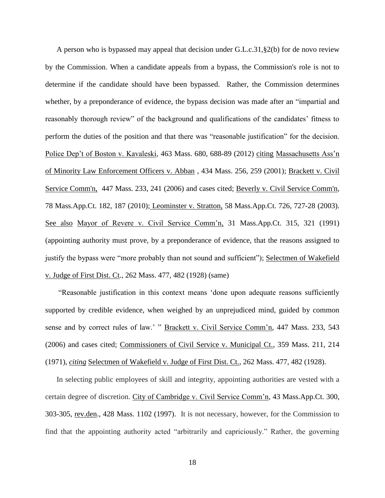A person who is bypassed may appeal that decision under G.L.c.31,§2(b) for de novo review by the Commission. When a candidate appeals from a bypass, the Commission's role is not to determine if the candidate should have been bypassed. Rather, the Commission determines whether, by a preponderance of evidence, the bypass decision was made after an "impartial and reasonably thorough review" of the background and qualifications of the candidates' fitness to perform the duties of the position and that there was "reasonable justification" for the decision. Police Dep't of Boston v. Kavaleski, 463 Mass. 680, 688-89 (2012) citing Massachusetts Ass'n of Minority Law Enforcement Officers v. Abban , 434 Mass. 256, 259 (2001); [Brackett v. Civil](http://web2.westlaw.com/find/default.wl?mt=Massachusetts&db=578&rs=WLW15.04&tc=-1&rp=%2ffind%2fdefault.wl&findtype=Y&ordoc=2029136022&serialnum=2009543382&vr=2.0&fn=_top&sv=Split&tf=-1&pbc=70F732C1&utid=1)  [Service Comm'n, 447 Mass. 233, 241 \(2006\)](http://web2.westlaw.com/find/default.wl?mt=Massachusetts&db=578&rs=WLW15.04&tc=-1&rp=%2ffind%2fdefault.wl&findtype=Y&ordoc=2029136022&serialnum=2009543382&vr=2.0&fn=_top&sv=Split&tf=-1&pbc=70F732C1&utid=1) and cases cited; [Beverly v. Civil Service Comm'n,](http://web2.westlaw.com/find/default.wl?mt=Massachusetts&db=578&rs=WLW15.04&tc=-1&rp=%2ffind%2fdefault.wl&findtype=Y&ordoc=2029136022&serialnum=2023501172&vr=2.0&fn=_top&sv=Split&tf=-1&pbc=70F732C1&utid=1)  [78 Mass.App.Ct. 182, 187 \(2010\);](http://web2.westlaw.com/find/default.wl?mt=Massachusetts&db=578&rs=WLW15.04&tc=-1&rp=%2ffind%2fdefault.wl&findtype=Y&ordoc=2029136022&serialnum=2023501172&vr=2.0&fn=_top&sv=Split&tf=-1&pbc=70F732C1&utid=1) Leominster v. Stratton, 58 Mass.App.Ct. 726, 727-28 (2003). See also Mayor of Revere v. Civil Service Comm'n, 31 Mass.App.Ct. 315, 321 (1991) (appointing authority must prove, by a preponderance of evidence, that the reasons assigned to justify the bypass were "more probably than not sound and sufficient"); Selectmen of Wakefield v. Judge of First Dist. Ct., 262 Mass. 477, 482 (1928) (same)

"Reasonable justification in this context means 'done upon adequate reasons sufficiently supported by credible evidence, when weighed by an unprejudiced mind, guided by common sense and by correct rules of law.' " Brackett v. Civil Service Comm'n, 447 Mass. 233, 543 (2006) and cases cited; Commissioners of Civil Service v. Municipal Ct., 359 Mass. 211, 214 (1971), *citing* Selectmen of Wakefield v. Judge of First Dist. Ct., 262 Mass. 477, 482 (1928).

In selecting public employees of skill and integrity, appointing authorities are vested with a certain degree of discretion. City of Cambridge v. Civil Service Comm'n, 43 Mass.App.Ct. 300, 303-305, rev.den., 428 Mass. 1102 (1997). It is not necessary, however, for the Commission to find that the appointing authority acted "arbitrarily and capriciously." Rather, the governing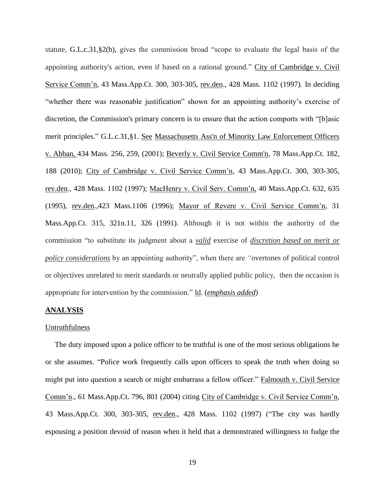statute, [G.L.c.31,§2\(b\),](https://1.next.westlaw.com/Link/Document/FullText?findType=L&pubNum=1000042&cite=MAST31S2&originatingDoc=Ib21af0ded3bd11d99439b076ef9ec4de&refType=LQ&originationContext=document&transitionType=DocumentItem&contextData=(sc.History*oc.UserEnteredCitation)) gives the commission broad "scope to evaluate the legal basis of the appointing authority's action, even if based on a rational ground." City of Cambridge v. Civil Service Comm'n, 43 Mass.App.Ct. 300, 303-305, rev.den., 428 Mass. 1102 (1997)*.* In deciding "whether there was reasonable justification" shown for an appointing authority's exercise of discretion, the Commission's primary concern is to ensure that the action comports with "[b]asic merit principles." [G.L.c.31,§1.](http://web2.westlaw.com/find/default.wl?mt=Massachusetts&db=1000042&rs=WLW15.04&docname=MAST31S1&rp=%2ffind%2fdefault.wl&findtype=L&ordoc=2029136022&tc=-1&vr=2.0&fn=_top&sv=Split&tf=-1&pbc=70F732C1&utid=1) See [Massachusetts Ass'n of Minority Law Enforcement Officers](http://web2.westlaw.com/find/default.wl?mt=Massachusetts&db=578&rs=WLW15.04&tc=-1&rp=%2ffind%2fdefault.wl&findtype=Y&ordoc=2029136022&serialnum=2001441097&vr=2.0&fn=_top&sv=Split&tf=-1&pbc=70F732C1&utid=1)  v. Abban, [434 Mass. 256, 259, \(2001\);](http://web2.westlaw.com/find/default.wl?mt=Massachusetts&db=578&rs=WLW15.04&tc=-1&rp=%2ffind%2fdefault.wl&findtype=Y&ordoc=2029136022&serialnum=2001441097&vr=2.0&fn=_top&sv=Split&tf=-1&pbc=70F732C1&utid=1) [Beverly v. Civil Service Comm'n, 78 Mass.App.Ct. 182,](http://web2.westlaw.com/find/default.wl?mt=Massachusetts&db=578&rs=WLW15.04&tc=-1&rp=%2ffind%2fdefault.wl&findtype=Y&ordoc=2029136022&serialnum=2023501172&vr=2.0&fn=_top&sv=Split&tf=-1&pbc=70F732C1&utid=1)  [188 \(2010\);](http://web2.westlaw.com/find/default.wl?mt=Massachusetts&db=578&rs=WLW15.04&tc=-1&rp=%2ffind%2fdefault.wl&findtype=Y&ordoc=2029136022&serialnum=2023501172&vr=2.0&fn=_top&sv=Split&tf=-1&pbc=70F732C1&utid=1) City of Cambridge v. Civil Service Comm'n, 43 Mass.App.Ct. 300, 303-305, rev.den., 428 Mass. 1102 (1997); MacHenry v. Civil Serv. Comm'n, 40 Mass.App.Ct. 632, 635 (1995), rev.den.,423 Mass.1106 (1996); Mayor of Revere v. Civil Service Comm'n, 31 Mass.App.Ct. 315, 321n.11, 326 (1991). Although it is not within the authority of the commission "to substitute its judgment about a *valid* exercise of *discretion based on merit or policy considerations* by an appointing authority", when there are *"*overtones of political control or objectives unrelated to merit standards or neutrally applied public policy, then the occasion is appropriate for intervention by the commission." Id. (*emphasis added*)

# **ANALYSIS**

#### Untruthfulness

The duty imposed upon a police officer to be truthful is one of the most serious obligations he or she assumes. "Police work frequently calls upon officers to speak the truth when doing so might put into question a search or might embarrass a fellow officer." Falmouth v. Civil Service Comm'n., 61 Mass.App.Ct. 796, 801 (2004) citing City of Cambridge v. Civil Service Comm'n, 43 Mass.App.Ct. 300, 303-305, rev.den., 428 Mass. 1102 (1997) ("The city was hardly espousing a position devoid of reason when it held that a demonstrated willingness to fudge the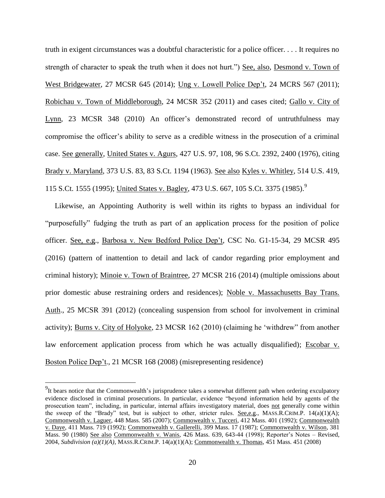truth in exigent circumstances was a doubtful characteristic for a police officer. . . . It requires no strength of character to speak the truth when it does not hurt.") See, also, Desmond v. Town of West Bridgewater, 27 MCSR 645 (2014); Ung v. Lowell Police Dep't, 24 MCRS 567 (2011); Robichau v. Town of Middleborough, 24 MCSR 352 (2011) and cases cited; Gallo v. City of Lynn, 23 MCSR 348 (2010) An officer's demonstrated record of untruthfulness may compromise the officer's ability to serve as a credible witness in the prosecution of a criminal case. See generally, United States v. Agurs, 427 U.S. 97, 108, 96 S.Ct. 2392, 2400 (1976), citing Brady v. Maryland, 373 U.S. 83, 83 S.Ct. 1194 (1963). See also Kyles v. Whitley, 514 U.S. 419, 115 S.Ct. 1555 (1995); United States v. Bagley, 473 U.S. 667, 105 S.Ct. 3375 (1985).<sup>9</sup>

Likewise, an Appointing Authority is well within its rights to bypass an individual for "purposefully" fudging the truth as part of an application process for the position of police officer. See, e.g., Barbosa v. New Bedford Police Dep't, CSC No. G1-15-34, 29 MCSR 495 (2016) (pattern of inattention to detail and lack of candor regarding prior employment and criminal history); Minoie v. Town of Braintree, 27 MCSR 216 (2014) (multiple omissions about prior domestic abuse restraining orders and residences); Noble v. Massachusetts Bay Trans. Auth., 25 MCSR 391 (2012) (concealing suspension from school for involvement in criminal activity); Burns v. City of Holyoke, 23 MCSR 162 (2010) (claiming he 'withdrew" from another law enforcement application process from which he was actually disqualified); Escobar v. Boston Police Dep't., 21 MCSR 168 (2008) (misrepresenting residence)

<sup>&</sup>lt;sup>9</sup>It bears notice that the Commonwealth's jurisprudence takes a somewhat different path when ordering exculpatory evidence disclosed in criminal prosecutions. In particular, evidence "beyond information held by agents of the prosecution team", including, in particular, internal affairs investigatory material, does not generally come within the sweep of the "Brady" test, but is subject to other, stricter rules. See,e.g., MASS.R.CRIM.P.  $14(a)(1)(A)$ ; Commonwealth v. Laguer, 448 Mass. 585 (2007); Commowealth v. Tucceri, 412 Mass. 401 (1992); Commonwealth v. Daye, 411 Mass. 719 (1992); Commonwealth v. Gallerelli, 399 Mass. 17 (1987); Commonwealth v. Wilson, 381 Mass. 90 (1980) See also Commonwealth v. Wanis, 426 Mass. 639, 643-44 (1998); Reporter's Notes – Revised, 2004, *Subdivision (a)(1)(A)*, MASS.R.CRIM.P. 14(a)(1)(A); Commonwealth v. Thomas, 451 Mass. 451 (2008)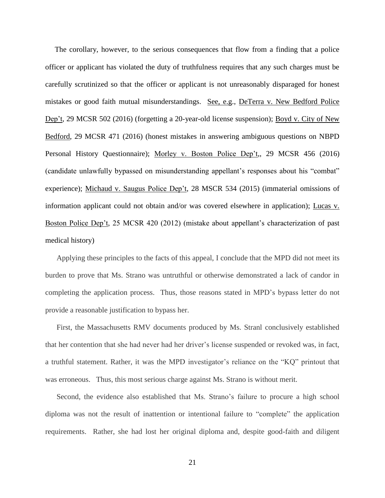The corollary, however, to the serious consequences that flow from a finding that a police officer or applicant has violated the duty of truthfulness requires that any such charges must be carefully scrutinized so that the officer or applicant is not unreasonably disparaged for honest mistakes or good faith mutual misunderstandings. See, e.g., DeTerra v. New Bedford Police Dep't, 29 MCSR 502 (2016) (forgetting a 20-year-old license suspension); Boyd v. City of New Bedford, 29 MCSR 471 (2016) (honest mistakes in answering ambiguous questions on NBPD Personal History Questionnaire); Morley v. Boston Police Dep't,, 29 MCSR 456 (2016) (candidate unlawfully bypassed on misunderstanding appellant's responses about his "combat" experience); Michaud v. Saugus Police Dep't, 28 MSCR 534 (2015) (immaterial omissions of information applicant could not obtain and/or was covered elsewhere in application); Lucas v. Boston Police Dep't, 25 MCSR 420 (2012) (mistake about appellant's characterization of past medical history)

Applying these principles to the facts of this appeal, I conclude that the MPD did not meet its burden to prove that Ms. Strano was untruthful or otherwise demonstrated a lack of candor in completing the application process. Thus, those reasons stated in MPD's bypass letter do not provide a reasonable justification to bypass her.

First, the Massachusetts RMV documents produced by Ms. Stranl conclusively established that her contention that she had never had her driver's license suspended or revoked was, in fact, a truthful statement. Rather, it was the MPD investigator's reliance on the "KQ" printout that was erroneous. Thus, this most serious charge against Ms. Strano is without merit.

Second, the evidence also established that Ms. Strano's failure to procure a high school diploma was not the result of inattention or intentional failure to "complete" the application requirements. Rather, she had lost her original diploma and, despite good-faith and diligent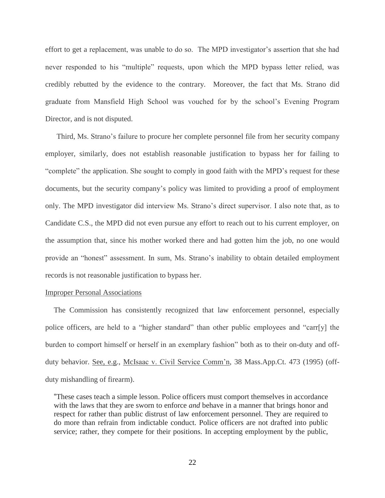effort to get a replacement, was unable to do so. The MPD investigator's assertion that she had never responded to his "multiple" requests, upon which the MPD bypass letter relied, was credibly rebutted by the evidence to the contrary. Moreover, the fact that Ms. Strano did graduate from Mansfield High School was vouched for by the school's Evening Program Director, and is not disputed.

Third, Ms. Strano's failure to procure her complete personnel file from her security company employer, similarly, does not establish reasonable justification to bypass her for failing to "complete" the application. She sought to comply in good faith with the MPD's request for these documents, but the security company's policy was limited to providing a proof of employment only. The MPD investigator did interview Ms. Strano's direct supervisor. I also note that, as to Candidate C.S., the MPD did not even pursue any effort to reach out to his current employer, on the assumption that, since his mother worked there and had gotten him the job, no one would provide an "honest" assessment. In sum, Ms. Strano's inability to obtain detailed employment records is not reasonable justification to bypass her.

## Improper Personal Associations

The Commission has consistently recognized that law enforcement personnel, especially police officers, are held to a "higher standard" than other public employees and "carr[y] the burden to comport himself or herself in an exemplary fashion" both as to their on-duty and offduty behavior. See, e.g., McIsaac v. Civil Service Comm'n, 38 Mass.App.Ct. 473 (1995) (offduty mishandling of firearm).

"These cases teach a simple lesson. Police officers must comport themselves in accordance with the laws that they are sworn to enforce *and* behave in a manner that brings honor and respect for rather than public distrust of law enforcement personnel. They are required to do more than refrain from indictable conduct. Police officers are not drafted into public service; rather, they compete for their positions. In accepting employment by the public,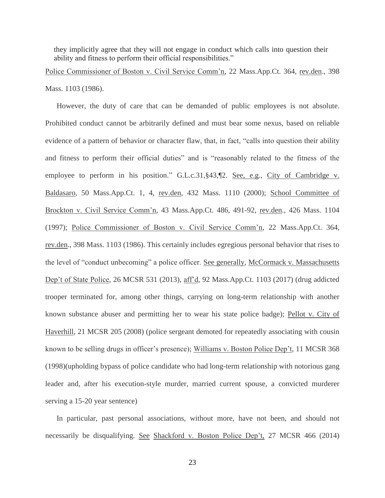they implicitly agree that they will not engage in conduct which calls into question their ability and fitness to perform their official responsibilities."

Police Commissioner of Boston v. Civil Service Comm'n, 22 Mass.App.Ct. 364, rev.den., 398 Mass. 1103 (1986).

However, the duty of care that can be demanded of public employees is not absolute. Prohibited conduct cannot be arbitrarily defined and must bear some nexus, based on reliable evidence of a pattern of behavior or character flaw, that, in fact, "calls into question their ability and fitness to perform their official duties" and is "reasonably related to the fitness of the employee to perform in his position." G.L.c.31, §43, [2. See, e.g., City of Cambridge v. Baldasaro, 50 Mass.App.Ct. 1, 4, rev.den, 432 Mass. 1110 (2000); School Committee of Brockton v. Civil Service Comm'n, 43 Mass.App.Ct. 486, 491-92, rev.den., 426 Mass. 1104 (1997); Police Commissioner of Boston v. Civil Service Comm'n, 22 Mass.App.Ct. 364, rev.den., 398 Mass. 1103 (1986). This certainly includes egregious personal behavior that rises to the level of "conduct unbecoming" a police officer. See generally, McCormack v. Massachusetts Dep't of State Police, 26 MCSR 531 (2013), aff'd, 92 Mass.App.Ct. 1103 (2017) (drug addicted trooper terminated for, among other things, carrying on long-term relationship with another known substance abuser and permitting her to wear his state police badge); Pellot v. City of Haverhill, 21 MCSR 205 (2008) (police sergeant demoted for repeatedly associating with cousin known to be selling drugs in officer's presence); Williams v. Boston Police Dep't, 11 MCSR 368 (1998)(upholding bypass of police candidate who had long-term relationship with notorious gang leader and, after his execution-style murder, married current spouse, a convicted murderer serving a 15-20 year sentence)

In particular, past personal associations, without more, have not been, and should not necessarily be disqualifying. See Shackford v. Boston Police Dep't, 27 MCSR 466 (2014)

23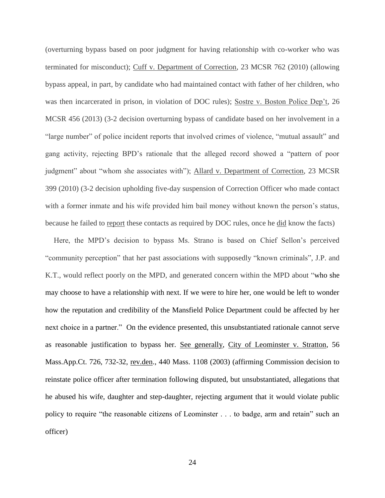(overturning bypass based on poor judgment for having relationship with co-worker who was terminated for misconduct); Cuff v. Department of Correction, 23 MCSR 762 (2010) (allowing bypass appeal, in part, by candidate who had maintained contact with father of her children, who was then incarcerated in prison, in violation of DOC rules); Sostre v. Boston Police Dep't, 26 MCSR 456 (2013) (3-2 decision overturning bypass of candidate based on her involvement in a "large number" of police incident reports that involved crimes of violence, "mutual assault" and gang activity, rejecting BPD's rationale that the alleged record showed a "pattern of poor judgment" about "whom she associates with"); Allard v. Department of Correction, 23 MCSR 399 (2010) (3-2 decision upholding five-day suspension of Correction Officer who made contact with a former inmate and his wife provided him bail money without known the person's status, because he failed to report these contacts as required by DOC rules, once he did know the facts)

Here, the MPD's decision to bypass Ms. Strano is based on Chief Sellon's perceived "community perception" that her past associations with supposedly "known criminals", J.P. and K.T., would reflect poorly on the MPD, and generated concern within the MPD about "who she may choose to have a relationship with next. If we were to hire her, one would be left to wonder how the reputation and credibility of the Mansfield Police Department could be affected by her next choice in a partner." On the evidence presented, this unsubstantiated rationale cannot serve as reasonable justification to bypass her. See generally, City of Leominster v. Stratton, 56 Mass.App.Ct. 726, 732-32, rev.den., 440 Mass. 1108 (2003) (affirming Commission decision to reinstate police officer after termination following disputed, but unsubstantiated, allegations that he abused his wife, daughter and step-daughter, rejecting argument that it would violate public policy to require "the reasonable citizens of Leominster . . . to badge, arm and retain" such an officer)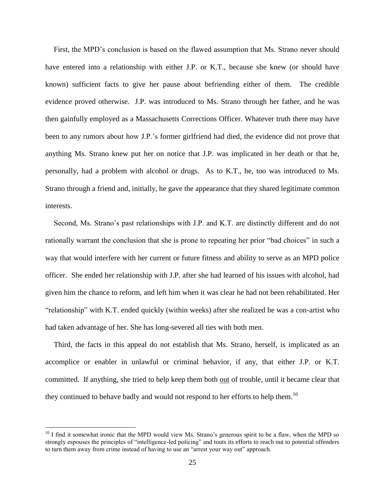First, the MPD's conclusion is based on the flawed assumption that Ms. Strano never should have entered into a relationship with either J.P. or K.T., because she knew (or should have known) sufficient facts to give her pause about befriending either of them. The credible evidence proved otherwise. J.P. was introduced to Ms. Strano through her father, and he was then gainfully employed as a Massachusetts Corrections Officer. Whatever truth there may have been to any rumors about how J.P.'s former girlfriend had died, the evidence did not prove that anything Ms. Strano knew put her on notice that J.P. was implicated in her death or that he, personally, had a problem with alcohol or drugs. As to K.T., he, too was introduced to Ms. Strano through a friend and, initially, he gave the appearance that they shared legitimate common interests.

Second, Ms. Strano's past relationships with J.P. and K.T. are distinctly different and do not rationally warrant the conclusion that she is prone to repeating her prior "bad choices" in such a way that would interfere with her current or future fitness and ability to serve as an MPD police officer. She ended her relationship with J.P. after she had learned of his issues with alcohol, had given him the chance to reform, and left him when it was clear he had not been rehabilitated. Her "relationship" with K.T. ended quickly (within weeks) after she realized he was a con-artist who had taken advantage of her. She has long-severed all ties with both men.

Third, the facts in this appeal do not establish that Ms. Strano, herself, is implicated as an accomplice or enabler in unlawful or criminal behavior, if any, that either J.P. or K.T. committed. If anything, she tried to help keep them both out of trouble, until it became clear that they continued to behave badly and would not respond to her efforts to help them.<sup>10</sup>

 $10$  I find it somewhat ironic that the MPD would view Ms. Strano's generous spirit to be a flaw, when the MPD so strongly espouses the principles of "intelligence-led policing" and touts its efforts to reach out to potential offenders to turn them away from crime instead of having to use an "arrest your way out" approach.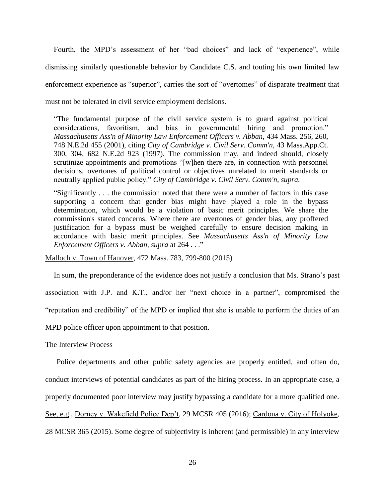Fourth, the MPD's assessment of her "bad choices" and lack of "experience", while dismissing similarly questionable behavior by Candidate C.S. and touting his own limited law enforcement experience as "superior", carries the sort of "overtomes" of disparate treatment that must not be tolerated in civil service employment decisions.

"The fundamental purpose of the civil service system is to guard against political considerations, favoritism, and bias in governmental hiring and promotion." *[Massachusetts Ass'n of Minority Law Enforcement Officers v. Abban,](https://1.next.westlaw.com/Link/Document/FullText?findType=Y&serNum=2001441097&pubNum=0000578&originatingDoc=I7ebce05562c311e5b86bd602cb8781fa&refType=RP&originationContext=document&transitionType=DocumentItem&contextData=(sc.Default))* 434 Mass. 256, 260, [748 N.E.2d 455 \(2001\),](https://1.next.westlaw.com/Link/Document/FullText?findType=Y&serNum=2001441097&pubNum=0000578&originatingDoc=I7ebce05562c311e5b86bd602cb8781fa&refType=RP&originationContext=document&transitionType=DocumentItem&contextData=(sc.Default)) citing *[City of Cambridge v. Civil Serv. Comm'n,](https://1.next.westlaw.com/Link/Document/FullText?findType=Y&serNum=1997166118&pubNum=0000578&originatingDoc=I7ebce05562c311e5b86bd602cb8781fa&refType=RP&originationContext=document&transitionType=DocumentItem&contextData=(sc.Default))* 43 Mass.App.Ct. [300, 304, 682 N.E.2d 923 \(1997\).](https://1.next.westlaw.com/Link/Document/FullText?findType=Y&serNum=1997166118&pubNum=0000578&originatingDoc=I7ebce05562c311e5b86bd602cb8781fa&refType=RP&originationContext=document&transitionType=DocumentItem&contextData=(sc.Default)) The commission may, and indeed should, closely scrutinize appointments and promotions "[w]hen there are, in connection with personnel decisions, overtones of political control or objectives unrelated to merit standards or neutrally applied public policy." *City of Cambridge v. Civil Serv. Comm'n, supra.*

"Significantly . . . the commission noted that there were a number of factors in this case supporting a concern that gender bias might have played a role in the bypass determination, which would be a violation of basic merit principles. We share the commission's stated concerns. Where there are overtones of gender bias, any proffered justification for a bypass must be weighed carefully to ensure decision making in accordance with basic merit principles. See *[Massachusetts Ass'n of Minority Law](https://1.next.westlaw.com/Link/Document/FullText?findType=Y&serNum=2001441097&pubNum=0000578&originatingDoc=I7ebce05562c311e5b86bd602cb8781fa&refType=RP&originationContext=document&transitionType=DocumentItem&contextData=(sc.Default))  [Enforcement Officers v. Abban,](https://1.next.westlaw.com/Link/Document/FullText?findType=Y&serNum=2001441097&pubNum=0000578&originatingDoc=I7ebce05562c311e5b86bd602cb8781fa&refType=RP&originationContext=document&transitionType=DocumentItem&contextData=(sc.Default)) supra* at 264 . . ."

Malloch v. Town of Hanover, 472 Mass. 783, 799-800 (2015)

In sum, the preponderance of the evidence does not justify a conclusion that Ms. Strano's past association with J.P. and K.T., and/or her "next choice in a partner", compromised the "reputation and credibility" of the MPD or implied that she is unable to perform the duties of an MPD police officer upon appointment to that position.

#### The Interview Process

Police departments and other public safety agencies are properly entitled, and often do, conduct interviews of potential candidates as part of the hiring process. In an appropriate case, a properly documented poor interview may justify bypassing a candidate for a more qualified one. See, e.g., Dorney v. Wakefield Police Dep't, 29 MCSR 405 (2016); Cardona v. City of Holyoke, 28 MCSR 365 (2015). Some degree of subjectivity is inherent (and permissible) in any interview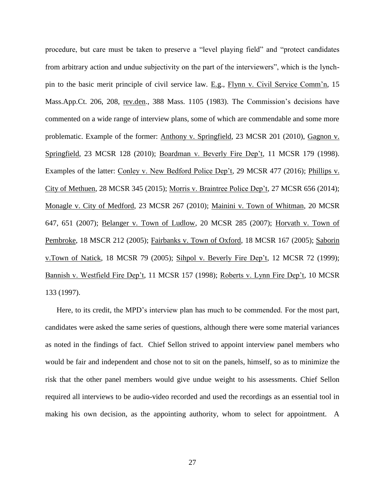procedure, but care must be taken to preserve a "level playing field" and "protect candidates from arbitrary action and undue subjectivity on the part of the interviewers", which is the lynchpin to the basic merit principle of civil service law. E.g., Flynn v. Civil Service Comm'n, 15 Mass.App.Ct. 206, 208, rev.den., 388 Mass. 1105 (1983). The Commission's decisions have commented on a wide range of interview plans, some of which are commendable and some more problematic. Example of the former: Anthony v. Springfield, 23 MCSR 201 (2010), Gagnon v. Springfield, 23 MCSR 128 (2010); Boardman v. Beverly Fire Dep't, 11 MCSR 179 (1998). Examples of the latter: Conley v. New Bedford Police Dep't, 29 MCSR 477 (2016); Phillips v. City of Methuen, 28 MCSR 345 (2015); Morris v. Braintree Police Dep't, 27 MCSR 656 (2014); Monagle v. City of Medford, 23 MCSR 267 (2010); Mainini v. Town of Whitman, 20 MCSR 647, 651 (2007); Belanger v. Town of Ludlow, 20 MCSR 285 (2007); Horvath v. Town of Pembroke, 18 MSCR 212 (2005); Fairbanks v. Town of Oxford, 18 MCSR 167 (2005); Saborin v.Town of Natick, 18 MCSR 79 (2005); Sihpol v. Beverly Fire Dep't, 12 MCSR 72 (1999); Bannish v. Westfield Fire Dep't, 11 MCSR 157 (1998); Roberts v. Lynn Fire Dep't, 10 MCSR 133 (1997).

Here, to its credit, the MPD's interview plan has much to be commended. For the most part, candidates were asked the same series of questions, although there were some material variances as noted in the findings of fact. Chief Sellon strived to appoint interview panel members who would be fair and independent and chose not to sit on the panels, himself, so as to minimize the risk that the other panel members would give undue weight to his assessments. Chief Sellon required all interviews to be audio-video recorded and used the recordings as an essential tool in making his own decision, as the appointing authority, whom to select for appointment. A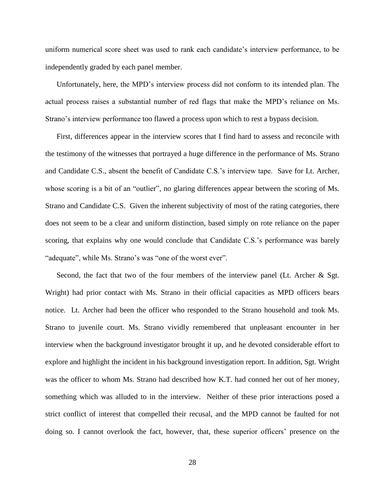uniform numerical score sheet was used to rank each candidate's interview performance, to be independently graded by each panel member.

Unfortunately, here, the MPD's interview process did not conform to its intended plan. The actual process raises a substantial number of red flags that make the MPD's reliance on Ms. Strano's interview performance too flawed a process upon which to rest a bypass decision.

First, differences appear in the interview scores that I find hard to assess and reconcile with the testimony of the witnesses that portrayed a huge difference in the performance of Ms. Strano and Candidate C.S., absent the benefit of Candidate C.S.'s interview tape. Save for Lt. Archer, whose scoring is a bit of an "outlier", no glaring differences appear between the scoring of Ms. Strano and Candidate C.S. Given the inherent subjectivity of most of the rating categories, there does not seem to be a clear and uniform distinction, based simply on rote reliance on the paper scoring, that explains why one would conclude that Candidate C.S.'s performance was barely "adequate", while Ms. Strano's was "one of the worst ever".

Second, the fact that two of the four members of the interview panel (Lt. Archer & Sgt. Wright) had prior contact with Ms. Strano in their official capacities as MPD officers bears notice. Lt. Archer had been the officer who responded to the Strano household and took Ms. Strano to juvenile court. Ms. Strano vividly remembered that unpleasant encounter in her interview when the background investigator brought it up, and he devoted considerable effort to explore and highlight the incident in his background investigation report. In addition, Sgt. Wright was the officer to whom Ms. Strano had described how K.T. had conned her out of her money, something which was alluded to in the interview. Neither of these prior interactions posed a strict conflict of interest that compelled their recusal, and the MPD cannot be faulted for not doing so. I cannot overlook the fact, however, that, these superior officers' presence on the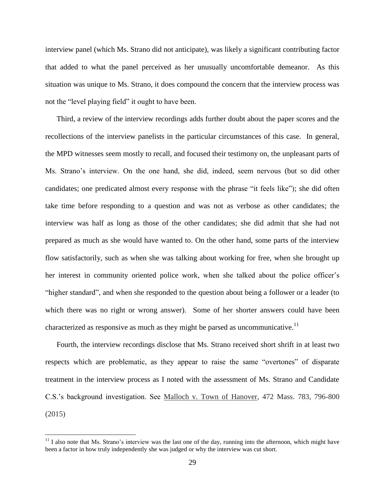interview panel (which Ms. Strano did not anticipate), was likely a significant contributing factor that added to what the panel perceived as her unusually uncomfortable demeanor. As this situation was unique to Ms. Strano, it does compound the concern that the interview process was not the "level playing field" it ought to have been.

Third, a review of the interview recordings adds further doubt about the paper scores and the recollections of the interview panelists in the particular circumstances of this case. In general, the MPD witnesses seem mostly to recall, and focused their testimony on, the unpleasant parts of Ms. Strano's interview. On the one hand, she did, indeed, seem nervous (but so did other candidates; one predicated almost every response with the phrase "it feels like"); she did often take time before responding to a question and was not as verbose as other candidates; the interview was half as long as those of the other candidates; she did admit that she had not prepared as much as she would have wanted to. On the other hand, some parts of the interview flow satisfactorily, such as when she was talking about working for free, when she brought up her interest in community oriented police work, when she talked about the police officer's "higher standard", and when she responded to the question about being a follower or a leader (to which there was no right or wrong answer). Some of her shorter answers could have been characterized as responsive as much as they might be parsed as uncommunicative.<sup>11</sup>

Fourth, the interview recordings disclose that Ms. Strano received short shrift in at least two respects which are problematic, as they appear to raise the same "overtones" of disparate treatment in the interview process as I noted with the assessment of Ms. Strano and Candidate C.S.'s background investigation. See Malloch v. Town of Hanover, 472 Mass. 783, 796-800 (2015)

 $11$  I also note that Ms. Strano's interview was the last one of the day, running into the afternoon, which might have been a factor in how truly independently she was judged or why the interview was cut short.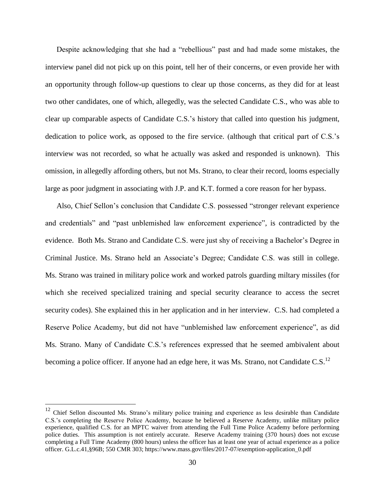Despite acknowledging that she had a "rebellious" past and had made some mistakes, the interview panel did not pick up on this point, tell her of their concerns, or even provide her with an opportunity through follow-up questions to clear up those concerns, as they did for at least two other candidates, one of which, allegedly, was the selected Candidate C.S., who was able to clear up comparable aspects of Candidate C.S.'s history that called into question his judgment, dedication to police work, as opposed to the fire service. (although that critical part of C.S.'s interview was not recorded, so what he actually was asked and responded is unknown). This omission, in allegedly affording others, but not Ms. Strano, to clear their record, looms especially large as poor judgment in associating with J.P. and K.T. formed a core reason for her bypass.

Also, Chief Sellon's conclusion that Candidate C.S. possessed "stronger relevant experience and credentials" and "past unblemished law enforcement experience", is contradicted by the evidence. Both Ms. Strano and Candidate C.S. were just shy of receiving a Bachelor's Degree in Criminal Justice. Ms. Strano held an Associate's Degree; Candidate C.S. was still in college. Ms. Strano was trained in military police work and worked patrols guarding miltary missiles (for which she received specialized training and special security clearance to access the secret security codes). She explained this in her application and in her interview. C.S. had completed a Reserve Police Academy, but did not have "unblemished law enforcement experience", as did Ms. Strano. Many of Candidate C.S.'s references expressed that he seemed ambivalent about becoming a police officer. If anyone had an edge here, it was Ms. Strano, not Candidate C.S.<sup>12</sup>

<sup>&</sup>lt;sup>12</sup> Chief Sellon discounted Ms. Strano's military police training and experience as less desirable than Candidate C.S.'s completing the Reserve Police Academy, because he believed a Reserve Academy, unlike military police experience, qualified C.S. for an MPTC waiver from attending the Full Time Police Academy before performing police duties. This assumption is not entirely accurate. Reserve Academy training (370 hours) does not excuse completing a Full Time Academy (800 hours) unless the officer has at least one year of actual experience as a police officer. G.L.c.41,§96B; 550 CMR 303; https://www.mass.gov/files/2017-07/exemption-application\_0.pdf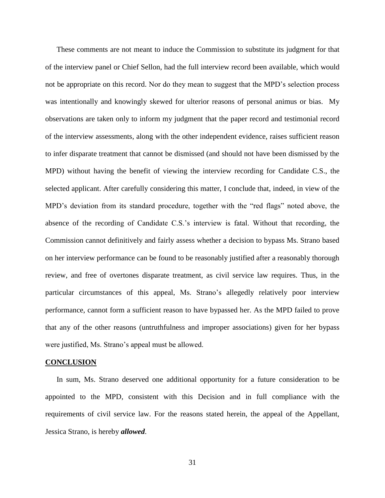These comments are not meant to induce the Commission to substitute its judgment for that of the interview panel or Chief Sellon, had the full interview record been available, which would not be appropriate on this record. Nor do they mean to suggest that the MPD's selection process was intentionally and knowingly skewed for ulterior reasons of personal animus or bias. My observations are taken only to inform my judgment that the paper record and testimonial record of the interview assessments, along with the other independent evidence, raises sufficient reason to infer disparate treatment that cannot be dismissed (and should not have been dismissed by the MPD) without having the benefit of viewing the interview recording for Candidate C.S., the selected applicant. After carefully considering this matter, I conclude that, indeed, in view of the MPD's deviation from its standard procedure, together with the "red flags" noted above, the absence of the recording of Candidate C.S.'s interview is fatal. Without that recording, the Commission cannot definitively and fairly assess whether a decision to bypass Ms. Strano based on her interview performance can be found to be reasonably justified after a reasonably thorough review, and free of overtones disparate treatment, as civil service law requires. Thus, in the particular circumstances of this appeal, Ms. Strano's allegedly relatively poor interview performance, cannot form a sufficient reason to have bypassed her. As the MPD failed to prove that any of the other reasons (untruthfulness and improper associations) given for her bypass were justified, Ms. Strano's appeal must be allowed.

#### **CONCLUSION**

In sum, Ms. Strano deserved one additional opportunity for a future consideration to be appointed to the MPD, consistent with this Decision and in full compliance with the requirements of civil service law. For the reasons stated herein, the appeal of the Appellant, Jessica Strano, is hereby *allowed*.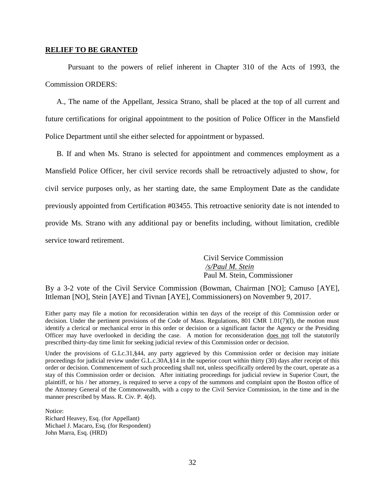#### **RELIEF TO BE GRANTED**

Pursuant to the powers of relief inherent in Chapter 310 of the Acts of 1993, the Commission ORDERS:

A., The name of the Appellant, Jessica Strano, shall be placed at the top of all current and future certifications for original appointment to the position of Police Officer in the Mansfield Police Department until she either selected for appointment or bypassed.

B. If and when Ms. Strano is selected for appointment and commences employment as a Mansfield Police Officer, her civil service records shall be retroactively adjusted to show, for civil service purposes only, as her starting date, the same Employment Date as the candidate previously appointed from Certification #03455. This retroactive seniority date is not intended to provide Ms. Strano with any additional pay or benefits including, without limitation, credible service toward retirement.

> Civil Service Commission */s/Paul M. Stein*  Paul M. Stein, Commissioner

By a 3-2 vote of the Civil Service Commission (Bowman, Chairman [NO]; Camuso [AYE], Ittleman [NO], Stein [AYE] and Tivnan [AYE], Commissioners) on November 9, 2017.

Either party may file a motion for reconsideration within ten days of the receipt of this Commission order or decision. Under the pertinent provisions of the Code of Mass. Regulations, 801 CMR 1.01(7)(l), the motion must identify a clerical or mechanical error in this order or decision or a significant factor the Agency or the Presiding Officer may have overlooked in deciding the case. A motion for reconsideration does not toll the statutorily prescribed thirty-day time limit for seeking judicial review of this Commission order or decision.

Under the provisions of G.Lc.31, §44, any party aggrieved by this Commission order or decision may initiate proceedings for judicial review under G.L.c.30A,§14 in the superior court within thirty (30) days after receipt of this order or decision. Commencement of such proceeding shall not, unless specifically ordered by the court, operate as a stay of this Commission order or decision. After initiating proceedings for judicial review in Superior Court, the plaintiff, or his / her attorney, is required to serve a copy of the summons and complaint upon the Boston office of the Attorney General of the Commonwealth, with a copy to the Civil Service Commission, in the time and in the manner prescribed by Mass. R. Civ. P. 4(d).

Notice:

Richard Heavey, Esq. (for Appellant) Michael J. Macaro, Esq. (for Respondent) John Marra, Esq. (HRD)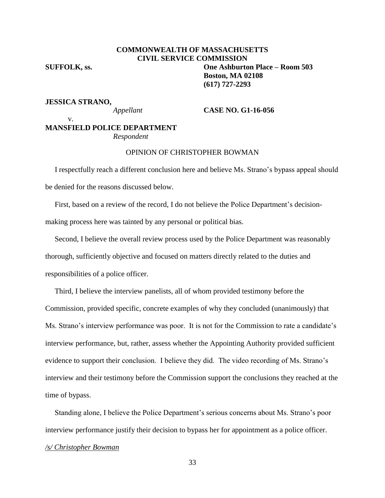# **COMMONWEALTH OF MASSACHUSETTS CIVIL SERVICE COMMISSION SUFFOLK, ss. One Ashburton Place – Room 503 Boston, MA 02108 (617) 727-2293**

#### **JESSICA STRANO,**

v.

#### *Appellant* **CASE NO. G1-16-056**

# **MANSFIELD POLICE DEPARTMENT** *Respondent*

# OPINION OF CHRISTOPHER BOWMAN

 I respectfully reach a different conclusion here and believe Ms. Strano's bypass appeal should be denied for the reasons discussed below.

 First, based on a review of the record, I do not believe the Police Department's decisionmaking process here was tainted by any personal or political bias.

 Second, I believe the overall review process used by the Police Department was reasonably thorough, sufficiently objective and focused on matters directly related to the duties and responsibilities of a police officer.

 Third, I believe the interview panelists, all of whom provided testimony before the Commission, provided specific, concrete examples of why they concluded (unanimously) that Ms. Strano's interview performance was poor. It is not for the Commission to rate a candidate's interview performance, but, rather, assess whether the Appointing Authority provided sufficient evidence to support their conclusion. I believe they did. The video recording of Ms. Strano's interview and their testimony before the Commission support the conclusions they reached at the time of bypass.

 Standing alone, I believe the Police Department's serious concerns about Ms. Strano's poor interview performance justify their decision to bypass her for appointment as a police officer. */s/ Christopher Bowman*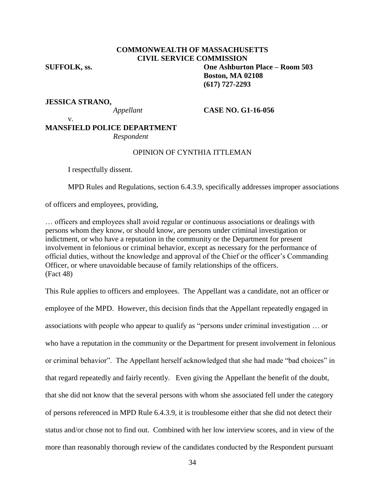# **COMMONWEALTH OF MASSACHUSETTS CIVIL SERVICE COMMISSION SUFFOLK, ss. One Ashburton Place – Room 503 Boston, MA 02108**

# **JESSICA STRANO,**

*Appellant* **CASE NO. G1-16-056**

**(617) 727-2293**

#### v.

# **MANSFIELD POLICE DEPARTMENT** *Respondent*

# OPINION OF CYNTHIA ITTLEMAN

I respectfully dissent.

MPD Rules and Regulations, section 6.4.3.9, specifically addresses improper associations

of officers and employees, providing,

… officers and employees shall avoid regular or continuous associations or dealings with persons whom they know, or should know, are persons under criminal investigation or indictment, or who have a reputation in the community or the Department for present involvement in felonious or criminal behavior, except as necessary for the performance of official duties, without the knowledge and approval of the Chief or the officer's Commanding Officer, or where unavoidable because of family relationships of the officers. (Fact 48)

This Rule applies to officers and employees. The Appellant was a candidate, not an officer or employee of the MPD. However, this decision finds that the Appellant repeatedly engaged in associations with people who appear to qualify as "persons under criminal investigation … or who have a reputation in the community or the Department for present involvement in felonious or criminal behavior". The Appellant herself acknowledged that she had made "bad choices" in that regard repeatedly and fairly recently. Even giving the Appellant the benefit of the doubt, that she did not know that the several persons with whom she associated fell under the category of persons referenced in MPD Rule 6.4.3.9, it is troublesome either that she did not detect their status and/or chose not to find out. Combined with her low interview scores, and in view of the more than reasonably thorough review of the candidates conducted by the Respondent pursuant